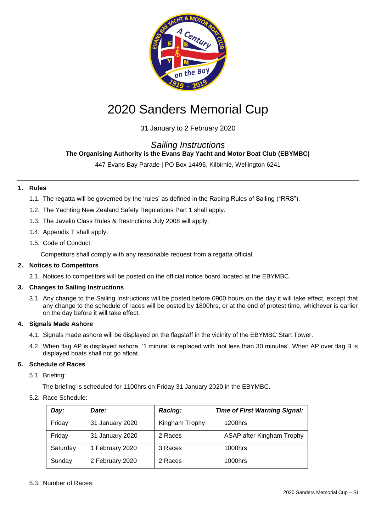

# 2020 Sanders Memorial Cup

31 January to 2 February 2020

# *Sailing Instructions*

# **The Organising Authority is the Evans Bay Yacht and Motor Boat Club (EBYMBC)**

447 Evans Bay Parade | PO Box 14496, Kilbirnie, Wellington 6241

# **1. Rules**

- 1.1. The regatta will be governed by the 'rules' as defined in the Racing Rules of Sailing ("RRS").
- 1.2. The Yachting New Zealand Safety Regulations Part 1 shall apply.
- 1.3. The Javelin Class Rules & Restrictions July 2008 will apply.
- 1.4. Appendix T shall apply.
- 1.5. Code of Conduct:
	- Competitors shall comply with any reasonable request from a regatta official.

#### **2. Notices to Competitors**

2.1. Notices to competitors will be posted on the official notice board located at the EBYMBC.

# **3. Changes to Sailing Instructions**

3.1. Any change to the Sailing Instructions will be posted before 0900 hours on the day it will take effect, except that any change to the schedule of races will be posted by 1800hrs, or at the end of protest time, whichever is earlier on the day before it will take effect.

# **4. Signals Made Ashore**

- 4.1. Signals made ashore will be displayed on the flagstaff in the vicinity of the EBYMBC Start Tower.
- 4.2. When flag AP is displayed ashore, '1 minute' is replaced with 'not less than 30 minutes'. When AP over flag B is displayed boats shall not go afloat.

# **5. Schedule of Races**

- 5.1. Briefing:
	- The briefing is scheduled for 1100hrs on Friday 31 January 2020 in the EBYMBC.
- 5.2. Race Schedule:

| Day:     | Date:           | Racing:        | <b>Time of First Warning Signal:</b> |
|----------|-----------------|----------------|--------------------------------------|
| Friday   | 31 January 2020 | Kingham Trophy | 1200hrs                              |
| Friday   | 31 January 2020 | 2 Races        | ASAP after Kingham Trophy            |
| Saturday | 1 February 2020 | 3 Races        | 1000hrs                              |
| Sunday   | 2 February 2020 | 2 Races        | 1000hrs                              |

5.3. Number of Races: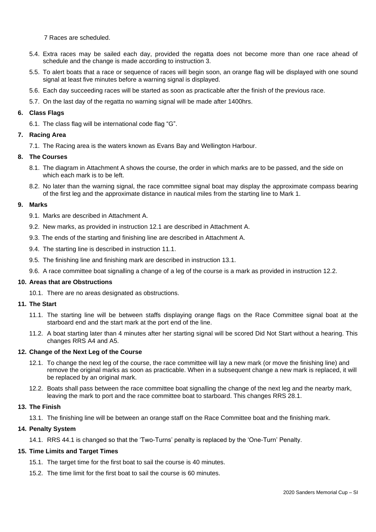7 Races are scheduled.

- 5.4. Extra races may be sailed each day, provided the regatta does not become more than one race ahead of schedule and the change is made according to instruction 3.
- 5.5. To alert boats that a race or sequence of races will begin soon, an orange flag will be displayed with one sound signal at least five minutes before a warning signal is displayed.
- 5.6. Each day succeeding races will be started as soon as practicable after the finish of the previous race.
- 5.7. On the last day of the regatta no warning signal will be made after 1400hrs.

#### **6. Class Flags**

6.1. The class flag will be international code flag "G".

# **7. Racing Area**

7.1. The Racing area is the waters known as Evans Bay and Wellington Harbour.

#### **8. The Courses**

- 8.1. The diagram in Attachment A shows the course, the order in which marks are to be passed, and the side on which each mark is to be left.
- 8.2. No later than the warning signal, the race committee signal boat may display the approximate compass bearing of the first leg and the approximate distance in nautical miles from the starting line to Mark 1.

# **9. Marks**

9.1. Marks are described in Attachment A.

- 9.2. New marks, as provided in instruction 12.1 are described in Attachment A.
- 9.3. The ends of the starting and finishing line are described in Attachment A.
- 9.4. The starting line is described in instruction 11.1.
- 9.5. The finishing line and finishing mark are described in instruction 13.1.
- 9.6. A race committee boat signalling a change of a leg of the course is a mark as provided in instruction 12.2.

#### **10. Areas that are Obstructions**

10.1. There are no areas designated as obstructions.

#### **11. The Start**

- 11.1. The starting line will be between staffs displaying orange flags on the Race Committee signal boat at the starboard end and the start mark at the port end of the line.
- 11.2. A boat starting later than 4 minutes after her starting signal will be scored Did Not Start without a hearing. This changes RRS A4 and A5.

# **12. Change of the Next Leg of the Course**

- 12.1. To change the next leg of the course, the race committee will lay a new mark (or move the finishing line) and remove the original marks as soon as practicable. When in a subsequent change a new mark is replaced, it will be replaced by an original mark.
- 12.2. Boats shall pass between the race committee boat signalling the change of the next leg and the nearby mark, leaving the mark to port and the race committee boat to starboard. This changes RRS 28.1.

# **13. The Finish**

13.1. The finishing line will be between an orange staff on the Race Committee boat and the finishing mark.

# **14. Penalty System**

14.1. RRS 44.1 is changed so that the 'Two-Turns' penalty is replaced by the 'One-Turn' Penalty.

# **15. Time Limits and Target Times**

- 15.1. The target time for the first boat to sail the course is 40 minutes.
- 15.2. The time limit for the first boat to sail the course is 60 minutes.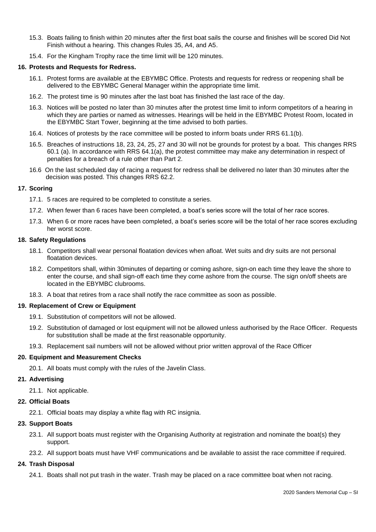- 15.3. Boats failing to finish within 20 minutes after the first boat sails the course and finishes will be scored Did Not Finish without a hearing. This changes Rules 35, A4, and A5.
- 15.4. For the Kingham Trophy race the time limit will be 120 minutes.

#### **16. Protests and Requests for Redress.**

- 16.1. Protest forms are available at the EBYMBC Office. Protests and requests for redress or reopening shall be delivered to the EBYMBC General Manager within the appropriate time limit.
- 16.2. The protest time is 90 minutes after the last boat has finished the last race of the day.
- 16.3. Notices will be posted no later than 30 minutes after the protest time limit to inform competitors of a hearing in which they are parties or named as witnesses. Hearings will be held in the EBYMBC Protest Room, located in the EBYMBC Start Tower, beginning at the time advised to both parties.
- 16.4. Notices of protests by the race committee will be posted to inform boats under RRS 61.1(b).
- 16.5. Breaches of instructions 18, 23, 24, 25, 27 and 30 will not be grounds for protest by a boat. This changes RRS 60.1 (a). In accordance with RRS 64.1(a), the protest committee may make any determination in respect of penalties for a breach of a rule other than Part 2.
- 16.6 On the last scheduled day of racing a request for redress shall be delivered no later than 30 minutes after the decision was posted. This changes RRS 62.2.

#### **17. Scoring**

- 17.1. 5 races are required to be completed to constitute a series.
- 17.2. When fewer than 6 races have been completed, a boat's series score will the total of her race scores.
- 17.3. When 6 or more races have been completed, a boat's series score will be the total of her race scores excluding her worst score.

#### **18. Safety Regulations**

- 18.1. Competitors shall wear personal floatation devices when afloat. Wet suits and dry suits are not personal floatation devices.
- 18.2. Competitors shall, within 30minutes of departing or coming ashore, sign-on each time they leave the shore to enter the course, and shall sign-off each time they come ashore from the course. The sign on/off sheets are located in the EBYMBC clubrooms.
- 18.3. A boat that retires from a race shall notify the race committee as soon as possible.

#### **19. Replacement of Crew or Equipment**

- 19.1. Substitution of competitors will not be allowed.
- 19.2. Substitution of damaged or lost equipment will not be allowed unless authorised by the Race Officer. Requests for substitution shall be made at the first reasonable opportunity.
- 19.3. Replacement sail numbers will not be allowed without prior written approval of the Race Officer

#### **20. Equipment and Measurement Checks**

20.1. All boats must comply with the rules of the Javelin Class.

#### **21. Advertising**

21.1. Not applicable.

#### **22. Official Boats**

22.1. Official boats may display a white flag with RC insignia.

# **23. Support Boats**

- 23.1. All support boats must register with the Organising Authority at registration and nominate the boat(s) they support.
- 23.2. All support boats must have VHF communications and be available to assist the race committee if required.

# **24. Trash Disposal**

24.1. Boats shall not put trash in the water. Trash may be placed on a race committee boat when not racing.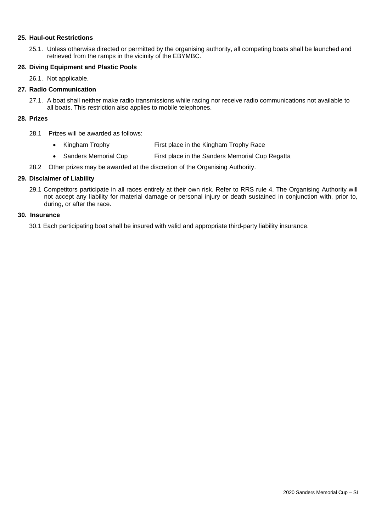#### **25. Haul-out Restrictions**

25.1. Unless otherwise directed or permitted by the organising authority, all competing boats shall be launched and retrieved from the ramps in the vicinity of the EBYMBC.

#### **26. Diving Equipment and Plastic Pools**

26.1. Not applicable.

#### **27. Radio Communication**

27.1. A boat shall neither make radio transmissions while racing nor receive radio communications not available to all boats. This restriction also applies to mobile telephones.

#### **28. Prizes**

- 28.1 Prizes will be awarded as follows:
	- Kingham Trophy **First place in the Kingham Trophy Race**
	- Sanders Memorial Cup First place in the Sanders Memorial Cup Regatta
- 28.2 Other prizes may be awarded at the discretion of the Organising Authority.

#### **29. Disclaimer of Liability**

29.1 Competitors participate in all races entirely at their own risk. Refer to RRS rule 4. The Organising Authority will not accept any liability for material damage or personal injury or death sustained in conjunction with, prior to, during, or after the race.

#### **30. Insurance**

30.1 Each participating boat shall be insured with valid and appropriate third-party liability insurance.